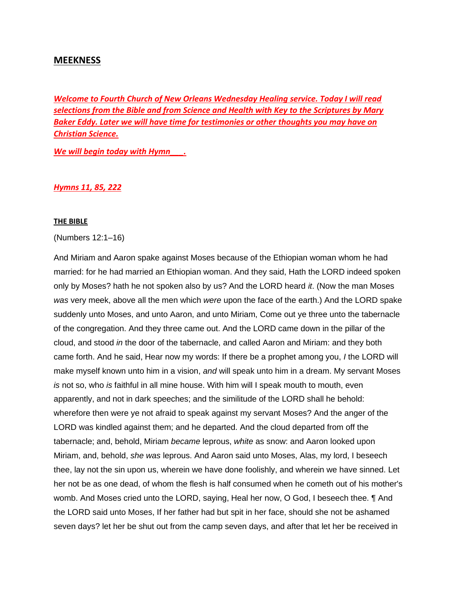# **MEEKNESS**

*Welcome to Fourth Church of New Orleans Wednesday Healing service. Today I will read selections from the Bible and from Science and Health with Key to the Scriptures by Mary Baker Eddy. Later we will have time for testimonies or other thoughts you may have on Christian Science.*

*We will begin today with Hymn\_\_\_.* 

*Hymns 11, 85, 222*

#### **THE BIBLE**

(Numbers 12:1–16)

And Miriam and Aaron spake against Moses because of the Ethiopian woman whom he had married: for he had married an Ethiopian woman. And they said, Hath the LORD indeed spoken only by Moses? hath he not spoken also by us? And the LORD heard *it*. (Now the man Moses *was* very meek, above all the men which *were* upon the face of the earth.) And the LORD spake suddenly unto Moses, and unto Aaron, and unto Miriam, Come out ye three unto the tabernacle of the congregation. And they three came out. And the LORD came down in the pillar of the cloud, and stood *in* the door of the tabernacle, and called Aaron and Miriam: and they both came forth. And he said, Hear now my words: If there be a prophet among you, *I* the LORD will make myself known unto him in a vision, *and* will speak unto him in a dream. My servant Moses *is* not so, who *is* faithful in all mine house. With him will I speak mouth to mouth, even apparently, and not in dark speeches; and the similitude of the LORD shall he behold: wherefore then were ye not afraid to speak against my servant Moses? And the anger of the LORD was kindled against them; and he departed. And the cloud departed from off the tabernacle; and, behold, Miriam *became* leprous, *white* as snow: and Aaron looked upon Miriam, and, behold, *she was* leprous. And Aaron said unto Moses, Alas, my lord, I beseech thee, lay not the sin upon us, wherein we have done foolishly, and wherein we have sinned. Let her not be as one dead, of whom the flesh is half consumed when he cometh out of his mother's womb. And Moses cried unto the LORD, saying, Heal her now, O God, I beseech thee. ¶ And the LORD said unto Moses, If her father had but spit in her face, should she not be ashamed seven days? let her be shut out from the camp seven days, and after that let her be received in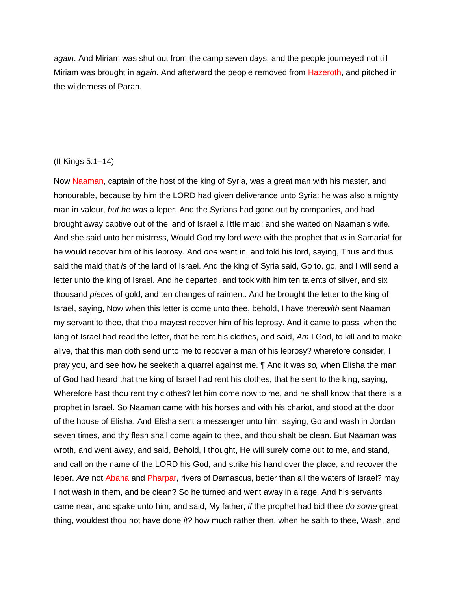*again*. And Miriam was shut out from the camp seven days: and the people journeyed not till Miriam was brought in *again*. And afterward the people removed from Hazeroth, and pitched in the wilderness of Paran.

## (II Kings 5:1–14)

Now Naaman, captain of the host of the king of Syria, was a great man with his master, and honourable, because by him the LORD had given deliverance unto Syria: he was also a mighty man in valour, *but he was* a leper. And the Syrians had gone out by companies, and had brought away captive out of the land of Israel a little maid; and she waited on Naaman's wife. And she said unto her mistress, Would God my lord *were* with the prophet that *is* in Samaria! for he would recover him of his leprosy. And *one* went in, and told his lord, saying, Thus and thus said the maid that *is* of the land of Israel. And the king of Syria said, Go to, go, and I will send a letter unto the king of Israel. And he departed, and took with him ten talents of silver, and six thousand *pieces* of gold, and ten changes of raiment. And he brought the letter to the king of Israel, saying, Now when this letter is come unto thee, behold, I have *therewith* sent Naaman my servant to thee, that thou mayest recover him of his leprosy. And it came to pass, when the king of Israel had read the letter, that he rent his clothes, and said, *Am* I God, to kill and to make alive, that this man doth send unto me to recover a man of his leprosy? wherefore consider, I pray you, and see how he seeketh a quarrel against me. ¶ And it was *so,* when Elisha the man of God had heard that the king of Israel had rent his clothes, that he sent to the king, saying, Wherefore hast thou rent thy clothes? let him come now to me, and he shall know that there is a prophet in Israel. So Naaman came with his horses and with his chariot, and stood at the door of the house of Elisha. And Elisha sent a messenger unto him, saying, Go and wash in Jordan seven times, and thy flesh shall come again to thee, and thou shalt be clean. But Naaman was wroth, and went away, and said, Behold, I thought, He will surely come out to me, and stand, and call on the name of the LORD his God, and strike his hand over the place, and recover the leper. *Are* not Abana and Pharpar, rivers of Damascus, better than all the waters of Israel? may I not wash in them, and be clean? So he turned and went away in a rage. And his servants came near, and spake unto him, and said, My father, *if* the prophet had bid thee *do some* great thing, wouldest thou not have done *it?* how much rather then, when he saith to thee, Wash, and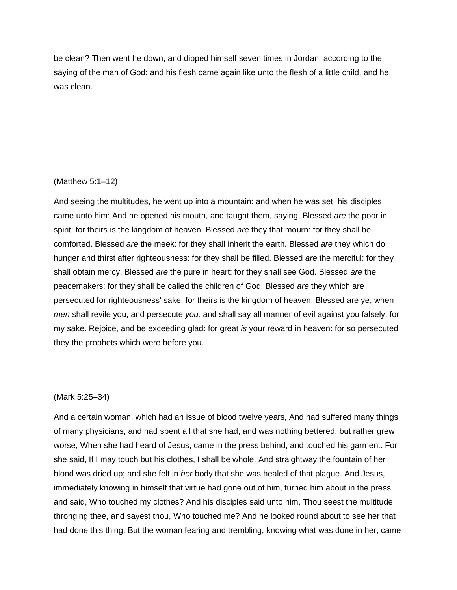be clean? Then went he down, and dipped himself seven times in Jordan, according to the saying of the man of God: and his flesh came again like unto the flesh of a little child, and he was clean.

## (Matthew 5:1–12)

And seeing the multitudes, he went up into a mountain: and when he was set, his disciples came unto him: And he opened his mouth, and taught them, saying, Blessed *are* the poor in spirit: for theirs is the kingdom of heaven. Blessed *are* they that mourn: for they shall be comforted. Blessed *are* the meek: for they shall inherit the earth. Blessed *are* they which do hunger and thirst after righteousness: for they shall be filled. Blessed *are* the merciful: for they shall obtain mercy. Blessed *are* the pure in heart: for they shall see God. Blessed *are* the peacemakers: for they shall be called the children of God. Blessed *are* they which are persecuted for righteousness' sake: for theirs is the kingdom of heaven. Blessed are ye, when *men* shall revile you, and persecute *you,* and shall say all manner of evil against you falsely, for my sake. Rejoice, and be exceeding glad: for great *is* your reward in heaven: for so persecuted they the prophets which were before you.

#### (Mark 5:25–34)

And a certain woman, which had an issue of blood twelve years, And had suffered many things of many physicians, and had spent all that she had, and was nothing bettered, but rather grew worse, When she had heard of Jesus, came in the press behind, and touched his garment. For she said, If I may touch but his clothes, I shall be whole. And straightway the fountain of her blood was dried up; and she felt in *her* body that she was healed of that plague. And Jesus, immediately knowing in himself that virtue had gone out of him, turned him about in the press, and said, Who touched my clothes? And his disciples said unto him, Thou seest the multitude thronging thee, and sayest thou, Who touched me? And he looked round about to see her that had done this thing. But the woman fearing and trembling, knowing what was done in her, came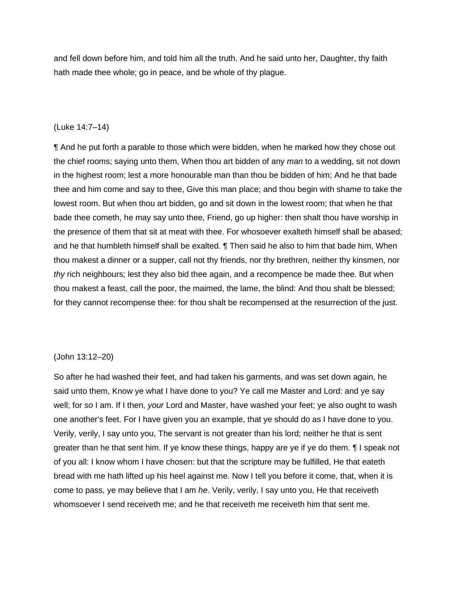and fell down before him, and told him all the truth. And he said unto her, Daughter, thy faith hath made thee whole; go in peace, and be whole of thy plague.

### (Luke 14:7–14)

¶ And he put forth a parable to those which were bidden, when he marked how they chose out the chief rooms; saying unto them, When thou art bidden of any *man* to a wedding, sit not down in the highest room; lest a more honourable man than thou be bidden of him; And he that bade thee and him come and say to thee, Give this man place; and thou begin with shame to take the lowest room. But when thou art bidden, go and sit down in the lowest room; that when he that bade thee cometh, he may say unto thee, Friend, go up higher: then shalt thou have worship in the presence of them that sit at meat with thee. For whosoever exalteth himself shall be abased; and he that humbleth himself shall be exalted. ¶ Then said he also to him that bade him, When thou makest a dinner or a supper, call not thy friends, nor thy brethren, neither thy kinsmen, nor *thy* rich neighbours; lest they also bid thee again, and a recompence be made thee. But when thou makest a feast, call the poor, the maimed, the lame, the blind: And thou shalt be blessed; for they cannot recompense thee: for thou shalt be recompensed at the resurrection of the just.

## (John 13:12–20)

So after he had washed their feet, and had taken his garments, and was set down again, he said unto them, Know ye what I have done to you? Ye call me Master and Lord: and ye say well; for *so* I am. If I then, *your* Lord and Master, have washed your feet; ye also ought to wash one another's feet. For I have given you an example, that ye should do as I have done to you. Verily, verily, I say unto you, The servant is not greater than his lord; neither he that is sent greater than he that sent him. If ye know these things, happy are ye if ye do them. ¶ I speak not of you all: I know whom I have chosen: but that the scripture may be fulfilled, He that eateth bread with me hath lifted up his heel against me. Now I tell you before it come, that, when it is come to pass, ye may believe that I am *he*. Verily, verily, I say unto you, He that receiveth whomsoever I send receiveth me; and he that receiveth me receiveth him that sent me.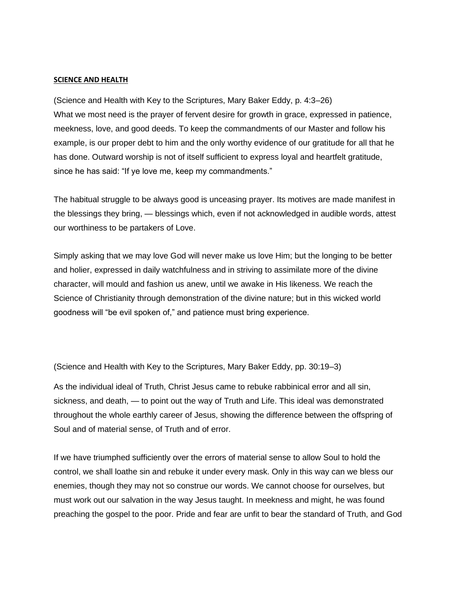#### **SCIENCE AND HEALTH**

(Science and Health with Key to the Scriptures, Mary Baker Eddy, p. 4:3–26) What we most need is the prayer of fervent desire for growth in grace, expressed in patience, meekness, love, and good deeds. To keep the commandments of our Master and follow his example, is our proper debt to him and the only worthy evidence of our gratitude for all that he has done. Outward worship is not of itself sufficient to express loyal and heartfelt gratitude, since he has said: "If ye love me, keep my commandments."

The habitual struggle to be always good is unceasing prayer. Its motives are made manifest in the blessings they bring, — blessings which, even if not acknowledged in audible words, attest our worthiness to be partakers of Love.

Simply asking that we may love God will never make us love Him; but the longing to be better and holier, expressed in daily watchfulness and in striving to assimilate more of the divine character, will mould and fashion us anew, until we awake in His likeness. We reach the Science of Christianity through demonstration of the divine nature; but in this wicked world goodness will "be evil spoken of," and patience must bring experience.

(Science and Health with Key to the Scriptures, Mary Baker Eddy, pp. 30:19–3)

As the individual ideal of Truth, Christ Jesus came to rebuke rabbinical error and all sin, sickness, and death, — to point out the way of Truth and Life. This ideal was demonstrated throughout the whole earthly career of Jesus, showing the difference between the offspring of Soul and of material sense, of Truth and of error.

If we have triumphed sufficiently over the errors of material sense to allow Soul to hold the control, we shall loathe sin and rebuke it under every mask. Only in this way can we bless our enemies, though they may not so construe our words. We cannot choose for ourselves, but must work out our salvation in the way Jesus taught. In meekness and might, he was found preaching the gospel to the poor. Pride and fear are unfit to bear the standard of Truth, and God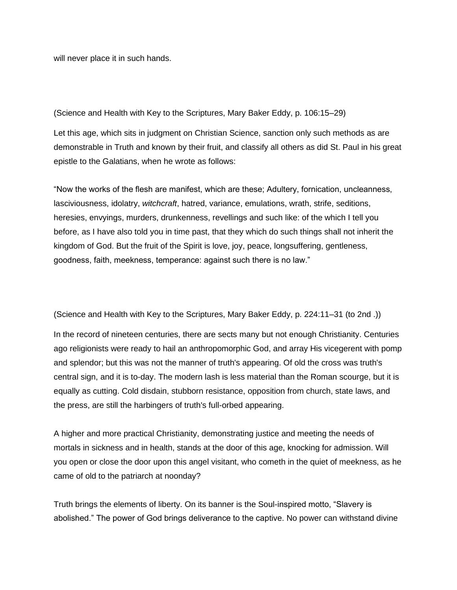will never place it in such hands.

(Science and Health with Key to the Scriptures, Mary Baker Eddy, p. 106:15–29)

Let this age, which sits in judgment on Christian Science, sanction only such methods as are demonstrable in Truth and known by their fruit, and classify all others as did St. Paul in his great epistle to the Galatians, when he wrote as follows:

"Now the works of the flesh are manifest, which are these; Adultery, fornication, uncleanness, lasciviousness, idolatry, *witchcraft*, hatred, variance, emulations, wrath, strife, seditions, heresies, envyings, murders, drunkenness, revellings and such like: of the which I tell you before, as I have also told you in time past, that they which do such things shall not inherit the kingdom of God. But the fruit of the Spirit is love, joy, peace, longsuffering, gentleness, goodness, faith, meekness, temperance: against such there is no law."

(Science and Health with Key to the Scriptures, Mary Baker Eddy, p. 224:11–31 (to 2nd .))

In the record of nineteen centuries, there are sects many but not enough Christianity. Centuries ago religionists were ready to hail an anthropomorphic God, and array His vicegerent with pomp and splendor; but this was not the manner of truth's appearing. Of old the cross was truth's central sign, and it is to-day. The modern lash is less material than the Roman scourge, but it is equally as cutting. Cold disdain, stubborn resistance, opposition from church, state laws, and the press, are still the harbingers of truth's full-orbed appearing.

A higher and more practical Christianity, demonstrating justice and meeting the needs of mortals in sickness and in health, stands at the door of this age, knocking for admission. Will you open or close the door upon this angel visitant, who cometh in the quiet of meekness, as he came of old to the patriarch at noonday?

Truth brings the elements of liberty. On its banner is the Soul-inspired motto, "Slavery is abolished." The power of God brings deliverance to the captive. No power can withstand divine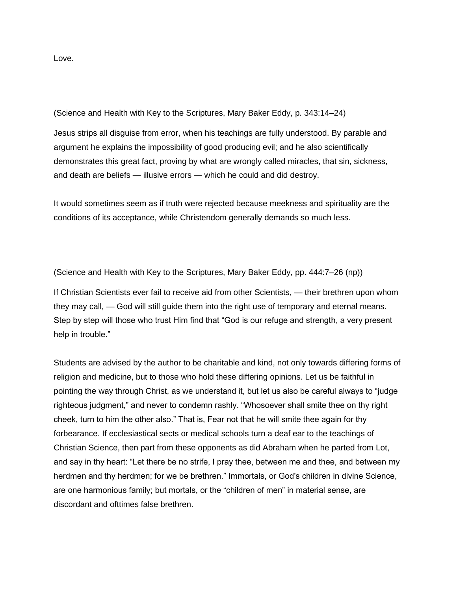Love.

(Science and Health with Key to the Scriptures, Mary Baker Eddy, p. 343:14–24)

Jesus strips all disguise from error, when his teachings are fully understood. By parable and argument he explains the impossibility of good producing evil; and he also scientifically demonstrates this great fact, proving by what are wrongly called miracles, that sin, sickness, and death are beliefs — illusive errors — which he could and did destroy.

It would sometimes seem as if truth were rejected because meekness and spirituality are the conditions of its acceptance, while Christendom generally demands so much less.

(Science and Health with Key to the Scriptures, Mary Baker Eddy, pp. 444:7–26 (np))

If Christian Scientists ever fail to receive aid from other Scientists, — their brethren upon whom they may call, — God will still guide them into the right use of temporary and eternal means. Step by step will those who trust Him find that "God is our refuge and strength, a very present help in trouble."

Students are advised by the author to be charitable and kind, not only towards differing forms of religion and medicine, but to those who hold these differing opinions. Let us be faithful in pointing the way through Christ, as we understand it, but let us also be careful always to "judge righteous judgment," and never to condemn rashly. "Whosoever shall smite thee on thy right cheek, turn to him the other also." That is, Fear not that he will smite thee again for thy forbearance. If ecclesiastical sects or medical schools turn a deaf ear to the teachings of Christian Science, then part from these opponents as did Abraham when he parted from Lot, and say in thy heart: "Let there be no strife, I pray thee, between me and thee, and between my herdmen and thy herdmen; for we be brethren." Immortals, or God's children in divine Science, are one harmonious family; but mortals, or the "children of men" in material sense, are discordant and ofttimes false brethren.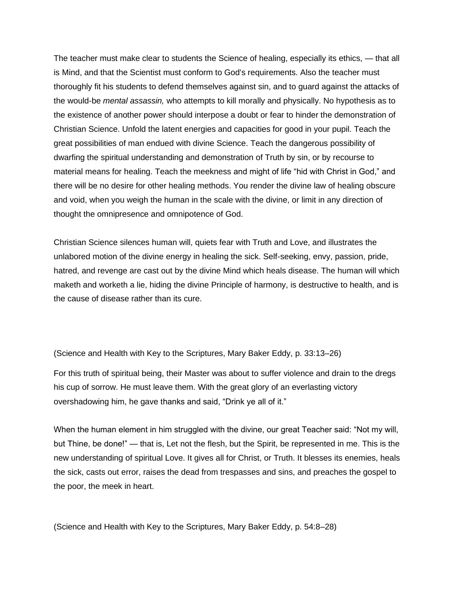The teacher must make clear to students the Science of healing, especially its ethics, — that all is Mind, and that the Scientist must conform to God's requirements. Also the teacher must thoroughly fit his students to defend themselves against sin, and to guard against the attacks of the would-be *mental assassin,* who attempts to kill morally and physically. No hypothesis as to the existence of another power should interpose a doubt or fear to hinder the demonstration of Christian Science. Unfold the latent energies and capacities for good in your pupil. Teach the great possibilities of man endued with divine Science. Teach the dangerous possibility of dwarfing the spiritual understanding and demonstration of Truth by sin, or by recourse to material means for healing. Teach the meekness and might of life "hid with Christ in God," and there will be no desire for other healing methods. You render the divine law of healing obscure and void, when you weigh the human in the scale with the divine, or limit in any direction of thought the omnipresence and omnipotence of God.

Christian Science silences human will, quiets fear with Truth and Love, and illustrates the unlabored motion of the divine energy in healing the sick. Self-seeking, envy, passion, pride, hatred, and revenge are cast out by the divine Mind which heals disease. The human will which maketh and worketh a lie, hiding the divine Principle of harmony, is destructive to health, and is the cause of disease rather than its cure.

(Science and Health with Key to the Scriptures, Mary Baker Eddy, p. 33:13–26)

For this truth of spiritual being, their Master was about to suffer violence and drain to the dregs his cup of sorrow. He must leave them. With the great glory of an everlasting victory overshadowing him, he gave thanks and said, "Drink ye all of it."

When the human element in him struggled with the divine, our great Teacher said: "Not my will, but Thine, be done!" — that is, Let not the flesh, but the Spirit, be represented in me. This is the new understanding of spiritual Love. It gives all for Christ, or Truth. It blesses its enemies, heals the sick, casts out error, raises the dead from trespasses and sins, and preaches the gospel to the poor, the meek in heart.

(Science and Health with Key to the Scriptures, Mary Baker Eddy, p. 54:8–28)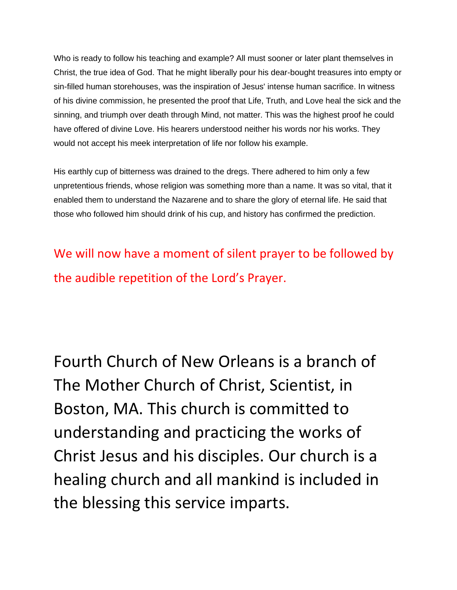Who is ready to follow his teaching and example? All must sooner or later plant themselves in Christ, the true idea of God. That he might liberally pour his dear-bought treasures into empty or sin-filled human storehouses, was the inspiration of Jesus' intense human sacrifice. In witness of his divine commission, he presented the proof that Life, Truth, and Love heal the sick and the sinning, and triumph over death through Mind, not matter. This was the highest proof he could have offered of divine Love. His hearers understood neither his words nor his works. They would not accept his meek interpretation of life nor follow his example.

His earthly cup of bitterness was drained to the dregs. There adhered to him only a few unpretentious friends, whose religion was something more than a name. It was so vital, that it enabled them to understand the Nazarene and to share the glory of eternal life. He said that those who followed him should drink of his cup, and history has confirmed the prediction.

We will now have a moment of silent prayer to be followed by the audible repetition of the Lord's Prayer.

Fourth Church of New Orleans is a branch of The Mother Church of Christ, Scientist, in Boston, MA. This church is committed to understanding and practicing the works of Christ Jesus and his disciples. Our church is a healing church and all mankind is included in the blessing this service imparts.